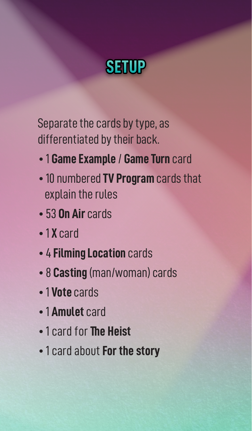

Separate the cards by type, as differentiated by their back.

- 1 **Game Example** / **Game Turn** card
- 10 numbered **TV Program** cards that explain the rules
- 53 **On Air** cards
- 1 **X** card
- 4 **Filming Location** cards
- 8 **Casting** (man/woman) cards
- 1 **Vote** cards
- 1 **Amulet** card
- 1 card for **The Heist**
- 1 card about **For the story**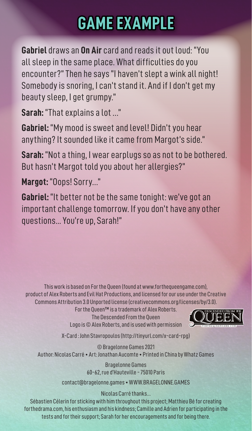## **GAME EXAMPLE**

**Gabriel** draws an **On Air** card and reads it out loud: "You all sleep in the same place. What difficulties do you encounter?" Then he says "I haven't slept a wink all night! Somebody is snoring, I can't stand it. And if I don't get my beauty sleep, I get grumpy."

**Sarah:** "That explains a lot …"

**Gabriel:** "My mood is sweet and level! Didn't you hear anything? It sounded like it came from Margot's side."

**Sarah:** "Not a thing, I wear earplugs so as not to be bothered. But hasn't Margot told you about her allergies?"

**Margot:** "Oops! Sorry…"

**Gabriel:** "It better not be the same tonight: we've got an important challenge tomorrow. If you don't have any other questions... You're up, Sarah!"

This work is based on For the Queen (found at www.forthequeengame.com), product of Alex Roberts and Evil Hat Productions, and licensed for our use under the Creative Commons Attribution 3.0 Unported license (creativecommons.org/licenses/by/3.0).

For the Queen™ is a trademark of Alex Roberts. The Descended From the Queen Logo is © Alex Roberts, and is used with permission



X-Card : John Stavropoulos (http://tinyurl.com/x-card-rpg)

© Bragelonne Games 2021 Author: Nicolas Carré • Art: Jonathan Aucomte • Printed in China by Whatz Games

> Bragelonne Games 60-62, rue d'Hauteville - 75010 Paris

contact@bragelonne.games • WWW.BRAGELONNE.GAMES

Nicolas Carré thanks…

Sébastien Célerin for sticking with him throughout this project; Matthieu Bé for creating forthedrama.com, his enthusiasm and his kindness; Camille and Adrien for participating in the tests and for their support; Sarah for her encouragements and for being there.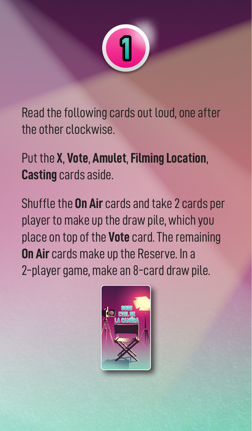

Read the following cards out loud, one after the other clockwise.

Put the **X**, **Vote**, **Amulet**, **Filming Location**, **Casting** cards aside.

Shuffle the **On Air** cards and take 2 cards per player to make up the draw pile, which you place on top of the **Vote** card. The remaining **On Air** cards make up the Reserve. In a 2-player game, make an 8-card draw pile.

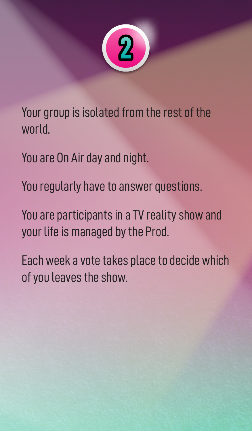

Your group is isolated from the rest of the world.

You are On Air day and night.

You regularly have to answer questions.

You are participants in a TV reality show and your life is managed by the Prod.

Each week a vote takes place to decide which of you leaves the show.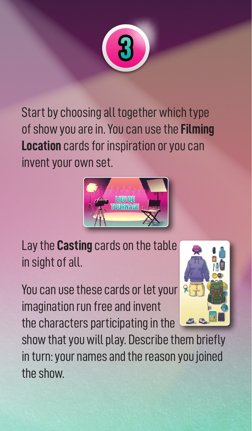

Start by choosing all together which type of show you are in. You can use the **Filming Location** cards for inspiration or you can invent your own set.



Lay the **Casting** cards on the table in sight of all.

You can use these cards or let your imagination run free and invent the characters participating in the



show that you will play. Describe them briefly in turn: your names and the reason you joined the show.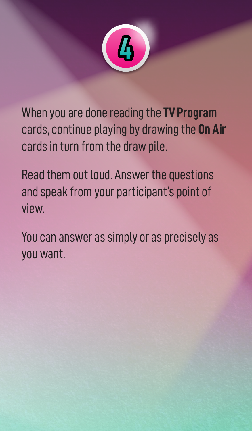

When you are done reading the **TV Program** cards, continue playing by drawing the **On Air** cards in turn from the draw pile.

Read them out loud. Answer the questions and speak from your participant's point of view.

You can answer as simply or as precisely as you want.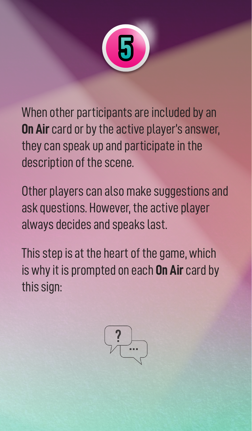

When other participants are included by an **On Air** card or by the active player's answer, they can speak up and participate in the description of the scene.

Other players can also make suggestions and ask questions. However, the active player always decides and speaks last.

This step is at the heart of the game, which is why it is prompted on each **On Air** card by this sign:

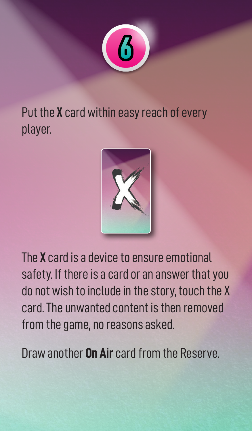

Put the **X** card within easy reach of every player.



The **X** card is a device to ensure emotional safety. If there is a card or an answer that you do not wish to include in the story, touch the X card. The unwanted content is then removed from the game, no reasons asked.

Draw another **On Air** card from the Reserve.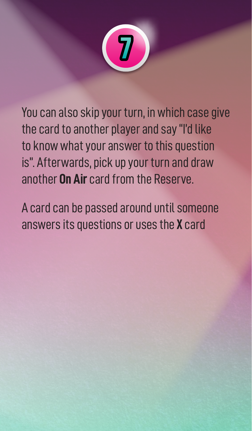

You can also skip your turn, in which case give the card to another player and say "I'd like to know what your answer to this question is". Afterwards, pick up your turn and draw another **On Air** card from the Reserve.

A card can be passed around until someone answers its questions or uses the **X** card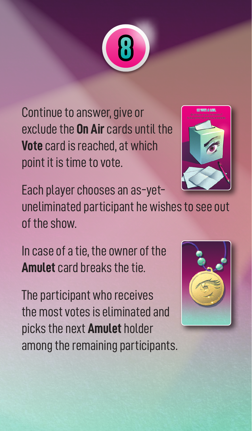

Continue to answer, give or exclude the **On Air** cards until the **Vote** card is reached, at which point it is time to vote.



Each player chooses an as-yet-

uneliminated participant he wishes to see out of the show.

In case of a tie, the owner of the **Amulet** card breaks the tie.

The participant who receives the most votes is eliminated and picks the next **Amulet** holder among the remaining participants.

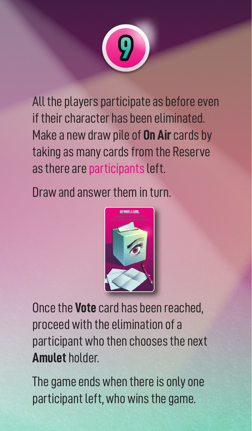

All the players participate as before even if their character has been eliminated. Make a new draw pile of **On Air** cards by taking as many cards from the Reserve as there are participants left.

Draw and answer them in turn.



Once the **Vote** card has been reached, proceed with the elimination of a participant who then chooses the next **Amulet** holder.

The game ends when there is only one participant left, who wins the game.